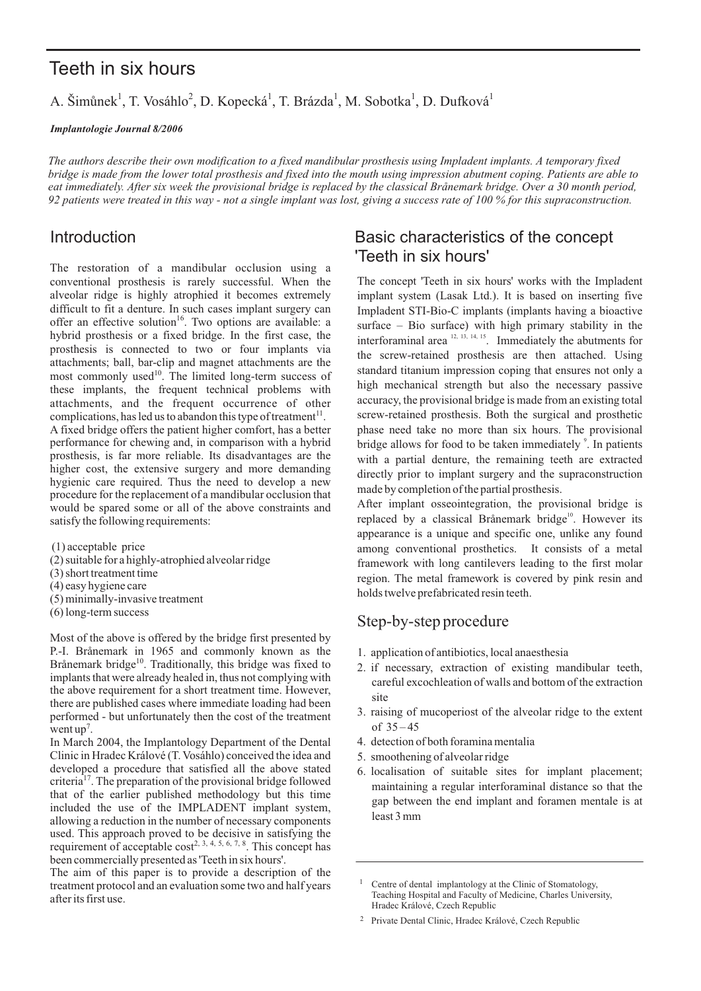# Teeth in six hours

A. Šimůnek<sup>1</sup>, T. Vosáhlo<sup>2</sup>, D. Kopecká<sup>1</sup>, T. Brázda<sup>1</sup>, M. Sobotka<sup>1</sup>, D. Dufková<sup>1</sup>

*Implantologie Journal 8/2006*

*The authors describe their own modification to a fixed mandibular prosthesis using Impladent implants. A temporary fixed bridge is made from the lower total prosthesis and fixed into the mouth using impression abutment coping. Patients are able to eat immediately. After six week the provisional bridge is replaced by the classical bridge. Over a 30 month period, Brånemark 92 patients were treated in this way - not a single implant was lost, giving a success rate of 100 % for this supraconstruction.*

The restoration of a mandibular occlusion using a conventional prosthesis is rarely successful. When the alveolar ridge is highly atrophied it becomes extremely difficult to fit a denture. In such cases implant surgery can offer an effective solution<sup>16</sup>. Two options are available: a hybrid prosthesis or a fixed bridge. In the first case, the prosthesis is connected to two or four implants via attachments; ball, bar-clip and magnet attachments are the most commonly used<sup>10</sup>. The limited long-term success of these implants, the frequent technical problems with attachments, and the frequent occurrence of other complications, has led us to abandon this type of treatment<sup>11</sup>.

A fixed bridge offers the patient higher comfort, has a better performance for chewing and, in comparison with a hybrid prosthesis, is far more reliable. Its disadvantages are the higher cost, the extensive surgery and more demanding hygienic care required. Thus the need to develop a new procedure for the replacement of a mandibular occlusion that would be spared some or all of the above constraints and satisfy the following requirements:

(1) acceptable price

- (2) suitable for a highly-atrophied alveolar ridge
- (3) short treatment time
- (4) easy hygiene care
- (5) minimally-invasive treatment
- (6) long-term success

Most of the above is offered by the bridge first presented by P.-I. Brånemark in 1965 and commonly known as the Brånemark bridge<sup>10</sup>. Traditionally, this bridge was fixed to implants that were already healed in, thus not complying with the above requirement for a short treatment time. However, there are published cases where immediate loading had been performed - but unfortunately then the cost of the treatment went  $up<sup>7</sup>$ .

In March 2004, the Implantology Department of the Dental Clinic in Hradec Králové (T. Vosáhlo) conceived the idea and developed a procedure that satisfied all the above stated criteria<sup>17</sup>. The preparation of the provisional bridge followed that of the earlier published methodology but this time included the use of the IMPLADENT implant system, allowing a reduction in the number of necessary components used. This approach proved to be decisive in satisfying the requirement of acceptable  $cost^{2, 3, 4, 5, 6, 7, 8}$ . This concept has been commercially presented as 'Teeth in six hours'.

The aim of this paper is to provide a description of the treatment protocol and an evaluation some two and half years after its first use.

## Introduction Basic characteristics of the concept 'Teeth in six hours'

The concept 'Teeth in six hours' works with the Impladent implant system (Lasak Ltd.). It is based on inserting five Impladent STI-Bio-C implants (implants having a bioactive surface – Bio surface) with high primary stability in the interforaminal area  $12, 13, 14, 15$ . Immediately the abutments for the screw-retained prosthesis are then attached. Using standard titanium impression coping that ensures not only a high mechanical strength but also the necessary passive accuracy, the provisional bridge is made from an existing total screw-retained prosthesis. Both the surgical and prosthetic phase need take no more than six hours. The provisional bridge allows for food to be taken immediately<sup>9</sup>. In patients with a partial denture, the remaining teeth are extracted directly prior to implant surgery and the supraconstruction made by completion of the partial prosthesis.

After implant osseointegration, the provisional bridge is replaced by a classical Brånemark bridge<sup>10</sup>. However its appearance is a unique and specific one, unlike any found among conventional prosthetics. It consists of a metal framework with long cantilevers leading to the first molar region. The metal framework is covered by pink resin and holds twelve prefabricated resin teeth.

## Step-by-step procedure

- 1. application of antibiotics, local anaesthesia
- 2. if necessary, extraction of existing mandibular teeth, careful excochleation of walls and bottom of the extraction site
- 3. raising of mucoperiost of the alveolar ridge to the extent of 35 – 45
- 4. detection of both foramina mentalia
- 5. smoothening of alveolar ridge
- 6. localisation of suitable sites for implant placement; maintaining a regular interforaminal distance so that the gap between the end implant and foramen mentale is at least 3 mm

<sup>1</sup> Centre of dental implantology at the Clinic of Stomatology, Teaching Hospital and Faculty of Medicine, Charles University, Hradec Králové, Czech Republic

<sup>&</sup>lt;sup>2</sup> Private Dental Clinic, Hradec Králové, Czech Republic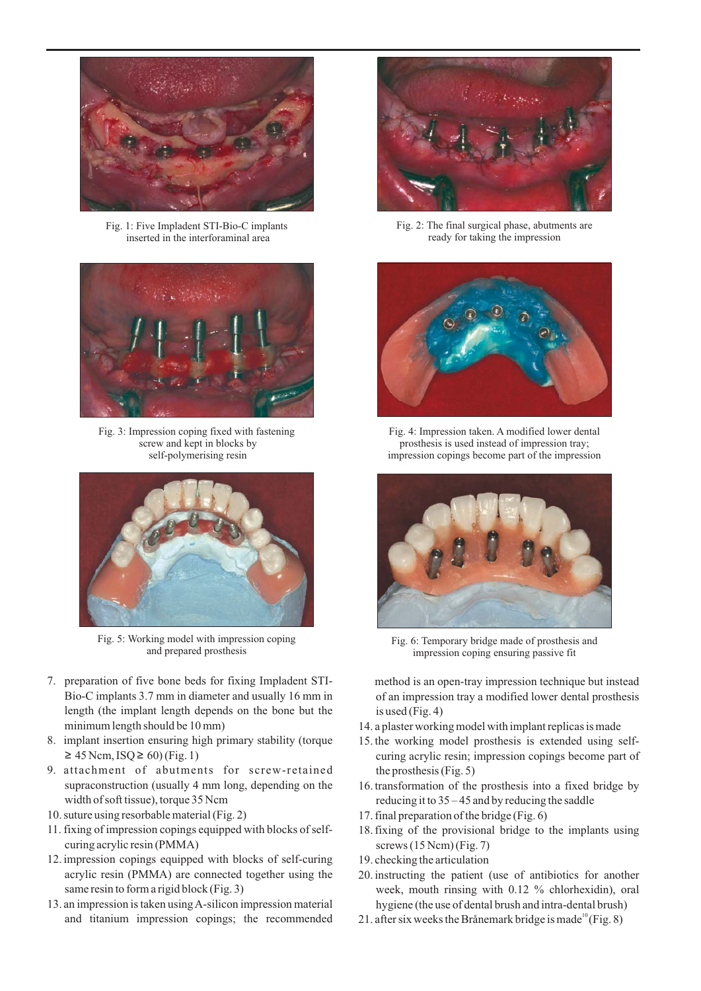

Fig. 1: Five Impladent STI-Bio-C implants inserted in the interforaminal area



Fig. 3: Impression coping fixed with fastening screw and kept in blocks by self-polymerising resin



Fig. 5: Working model with impression coping and prepared prosthesis

- 7. preparation of five bone beds for fixing Impladent STI-Bio-C implants 3.7 mm in diameter and usually 16 mm in length (the implant length depends on the bone but the minimum length should be 10 mm)
- 8. implant insertion ensuring high primary stability (torque  $\geq$  45 Ncm, ISQ ≥ 60) (Fig. 1)
- 9. attachment of abutments for screw-retained supraconstruction (usually 4 mm long, depending on the width of soft tissue), torque 35 Ncm
- 10. suture using resorbable material (Fig. 2)
- 11. fixing of impression copings equipped with blocks of selfcuring acrylic resin (PMMA)
- 12. impression copings equipped with blocks of self-curing acrylic resin (PMMA) are connected together using the same resin to form a rigid block (Fig. 3)
- 13. an impression is taken usingA-silicon impression material and titanium impression copings; the recommended



Fig. 2: The final surgical phase, abutments are ready for taking the impression



Fig. 4: Impression taken. A modified lower dental prosthesis is used instead of impression tray; impression copings become part of the impression



Fig. 6: Temporary bridge made of prosthesis and impression coping ensuring passive fit

method is an open-tray impression technique but instead of an impression tray a modified lower dental prosthesis is used (Fig. 4)

- 14. a plaster working model with implant replicas is made
- 15. the working model prosthesis is extended using selfcuring acrylic resin; impression copings become part of the prosthesis (Fig. 5)
- 16. transformation of the prosthesis into a fixed bridge by reducing it to 35 – 45 and by reducing the saddle
- 17. final preparation of the bridge (Fig. 6)
- 18. fixing of the provisional bridge to the implants using screws  $(15 \text{ Ncm})$  (Fig. 7)
- 19. checking the articulation
- 20. instructing the patient (use of antibiotics for another week, mouth rinsing with 0.12 % chlorhexidin), oral hygiene (the use of dental brush and intra-dental brush)
- 21. after six weeks the Brånemark bridge is made  $P^0$  (Fig. 8)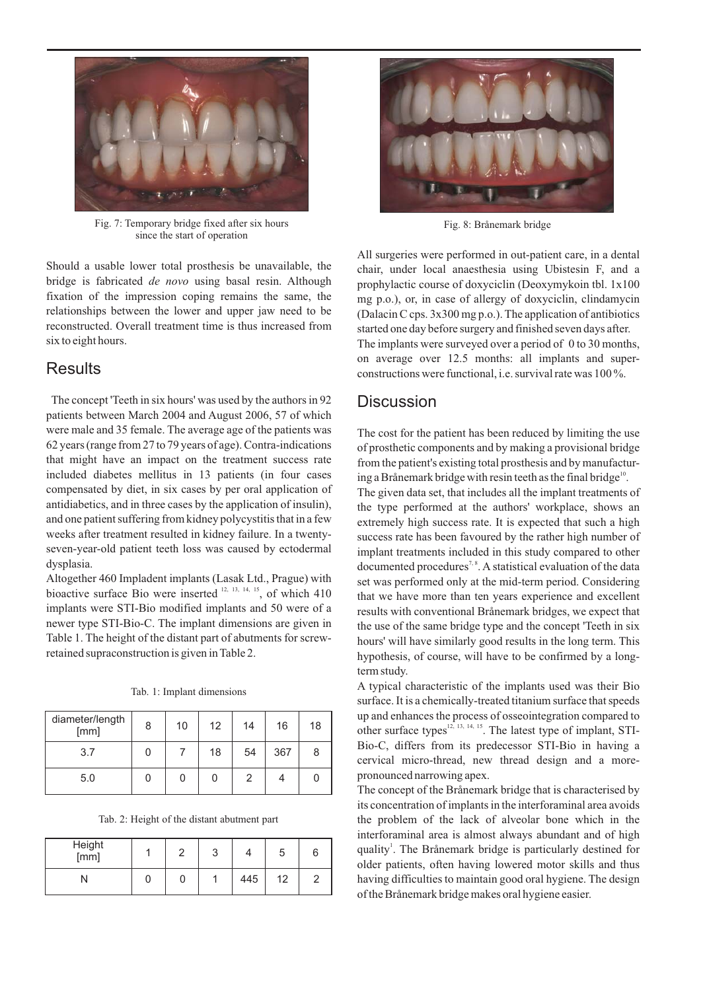

Fig. 7: Temporary bridge fixed after six hours since the start of operation

Should a usable lower total prosthesis be unavailable, the bridge is fabricated de novo using basal resin. Although fixation of the impression coping remains the same, the relationships between the lower and upper jaw need to be reconstructed. Overall treatment time is thus increased from six to eight hours.

### **Results**

The concept 'Teeth in six hours' was used by the authors in 92 patients between March 2004 and August 2006, 57 of which were male and 35 female. The average age of the patients was 62 years (range from 27 to 79 years of age). Contra-indications that might have an impact on the treatment success rate included diabetes mellitus in 13 patients (in four cases compensated by diet, in six cases by per oral application of antidiabetics, and in three cases by the application of insulin), and one patient suffering from kidney polycystitis that in a few weeks after treatment resulted in kidney failure. In a twentyseven-year-old patient teeth loss was caused by ectodermal dysplasia.

Altogether 460 Impladent implants (Lasak Ltd., Prague) with bioactive surface Bio were inserted  $12, 13, 14, 15$ , of which 410 implants were STI-Bio modified implants and 50 were of a newer type STI-Bio-C. The implant dimensions are given in Table 1. The height of the distant part of abutments for screwretained supraconstruction is given in Table 2.

|  |  | Tab. 1: Implant dimensions |
|--|--|----------------------------|
|  |  |                            |

| diameter/length<br>[mm] | 8 | 10 | 12 | 14 | 16  | 18 |
|-------------------------|---|----|----|----|-----|----|
| 3.7                     |   |    | 18 | 54 | 367 | 8  |
| 5.0                     |   | U  | 0  | 2  |     |    |

Tab. 2: Height of the distant abutment part

| Height<br>[mm] |  |     |    | b |
|----------------|--|-----|----|---|
|                |  | 445 | 12 |   |



Fig. 8: Brånemark bridge

All surgeries were performed in out-patient care, in a dental chair, under local anaesthesia using Ubistesin F, and a prophylactic course of doxyciclin (Deoxymykoin tbl. 1x100 mg p.o.), or, in case of allergy of doxyciclin, clindamycin (Dalacin C cps. 3x300 mg p.o.). The application of antibiotics started one day before surgery and finished seven days after. The implants were surveyed over a period of 0 to 30 months, on average over 12.5 months: all implants and superconstructions were functional, i.e. survival rate was 100 %.

## **Discussion**

The cost for the patient has been reduced by limiting the use of prosthetic components and by making a provisional bridge from the patient's existing total prosthesis and by manufacturing a Brånemark bridge with resin teeth as the final bridge<sup>10</sup>. The given data set, that includes all the implant treatments of the type performed at the authors' workplace, shows an extremely high success rate. It is expected that such a high

success rate has been favoured by the rather high number of implant treatments included in this study compared to other documented procedures<sup>7,8</sup>. A statistical evaluation of the data set was performed only at the mid-term period. Considering that we have more than ten years experience and excellent results with conventional Brånemark bridges, we expect that the use of the same bridge type and the concept 'Teeth in six hours' will have similarly good results in the long term. This hypothesis, of course, will have to be confirmed by a longterm study.

A typical characteristic of the implants used was their Bio surface. It is a chemically-treated titanium surface that speeds up and enhances the process of osseointegration compared to other surface types<sup>12, 13, 14, 15</sup>. The latest type of implant, STI-Bio-C, differs from its predecessor STI-Bio in having a cervical micro-thread, new thread design and a morepronounced narrowing apex.

The concept of the Brånemark bridge that is characterised by its concentration of implants in the interforaminal area avoids the problem of the lack of alveolar bone which in the interforaminal area is almost always abundant and of high quality<sup>1</sup>. The Brånemark bridge is particularly destined for older patients, often having lowered motor skills and thus having difficulties to maintain good oral hygiene. The design of the Brånemark bridge makes oral hygiene easier.